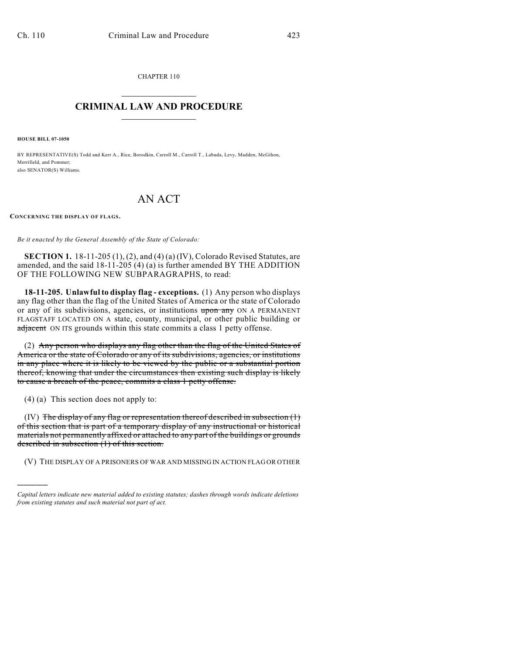CHAPTER 110  $\mathcal{L}_\text{max}$  . The set of the set of the set of the set of the set of the set of the set of the set of the set of the set of the set of the set of the set of the set of the set of the set of the set of the set of the set

## **CRIMINAL LAW AND PROCEDURE**  $\_$   $\_$   $\_$   $\_$   $\_$   $\_$   $\_$   $\_$   $\_$   $\_$

**HOUSE BILL 07-1050**

BY REPRESENTATIVE(S) Todd and Kerr A., Rice, Borodkin, Carroll M., Carroll T., Labuda, Levy, Madden, McGihon, Merrifield, and Pommer; also SENATOR(S) Williams.

## AN ACT

## **CONCERNING THE DISPLAY OF FLAGS.**

*Be it enacted by the General Assembly of the State of Colorado:*

**SECTION 1.** 18-11-205 (1), (2), and (4) (a) (IV), Colorado Revised Statutes, are amended, and the said 18-11-205 (4) (a) is further amended BY THE ADDITION OF THE FOLLOWING NEW SUBPARAGRAPHS, to read:

**18-11-205. Unlawful to display flag - exceptions.** (1) Any person who displays any flag other than the flag of the United States of America or the state of Colorado or any of its subdivisions, agencies, or institutions upon any ON A PERMANENT FLAGSTAFF LOCATED ON A state, county, municipal, or other public building or adjacent ON ITS grounds within this state commits a class 1 petty offense.

(2) Any person who displays any flag other than the flag of the United States of America or the state of Colorado or any of its subdivisions, agencies, or institutions in any place where it is likely to be viewed by the public or a substantial portion thereof, knowing that under the circumstances then existing such display is likely to cause a breach of the peace, commits a class 1 petty offense.

(4) (a) This section does not apply to:

)))))

(IV) The display of any flag or representation thereof described in subsection  $(1)$ of this section that is part of a temporary display of any instructional or historical materials not permanently affixed or attached to any part of the buildings or grounds described in subsection (1) of this section.

(V) THE DISPLAY OF A PRISONERS OF WAR AND MISSING IN ACTION FLAG OR OTHER

*Capital letters indicate new material added to existing statutes; dashes through words indicate deletions from existing statutes and such material not part of act.*